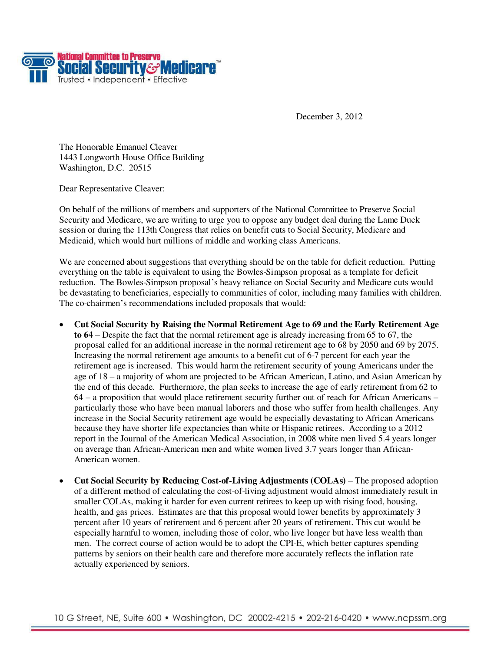

December 3, 2012

The Honorable Emanuel Cleaver 1443 Longworth House Office Building Washington, D.C. 20515

Dear Representative Cleaver:

On behalf of the millions of members and supporters of the National Committee to Preserve Social Security and Medicare, we are writing to urge you to oppose any budget deal during the Lame Duck session or during the 113th Congress that relies on benefit cuts to Social Security, Medicare and Medicaid, which would hurt millions of middle and working class Americans.

We are concerned about suggestions that everything should be on the table for deficit reduction. Putting everything on the table is equivalent to using the Bowles-Simpson proposal as a template for deficit reduction. The Bowles-Simpson proposal's heavy reliance on Social Security and Medicare cuts would be devastating to beneficiaries, especially to communities of color, including many families with children. The co-chairmen's recommendations included proposals that would:

- **Cut Social Security by Raising the Normal Retirement Age to 69 and the Early Retirement Age to 64** – Despite the fact that the normal retirement age is already increasing from 65 to 67, the proposal called for an additional increase in the normal retirement age to 68 by 2050 and 69 by 2075. Increasing the normal retirement age amounts to a benefit cut of 6-7 percent for each year the retirement age is increased. This would harm the retirement security of young Americans under the age of 18 – a majority of whom are projected to be African American, Latino, and Asian American by the end of this decade. Furthermore, the plan seeks to increase the age of early retirement from 62 to 64 – a proposition that would place retirement security further out of reach for African Americans – particularly those who have been manual laborers and those who suffer from health challenges. Any increase in the Social Security retirement age would be especially devastating to African Americans because they have shorter life expectancies than white or Hispanic retirees. According to a 2012 report in the Journal of the American Medical Association, in 2008 white men lived 5.4 years longer on average than African-American men and white women lived 3.7 years longer than African-American women.
- **Cut Social Security by Reducing Cost-of-Living Adjustments (COLAs)**  The proposed adoption of a different method of calculating the cost-of-living adjustment would almost immediately result in smaller COLAs, making it harder for even current retirees to keep up with rising food, housing, health, and gas prices. Estimates are that this proposal would lower benefits by approximately 3 percent after 10 years of retirement and 6 percent after 20 years of retirement. This cut would be especially harmful to women, including those of color, who live longer but have less wealth than men. The correct course of action would be to adopt the CPI-E, which better captures spending patterns by seniors on their health care and therefore more accurately reflects the inflation rate actually experienced by seniors.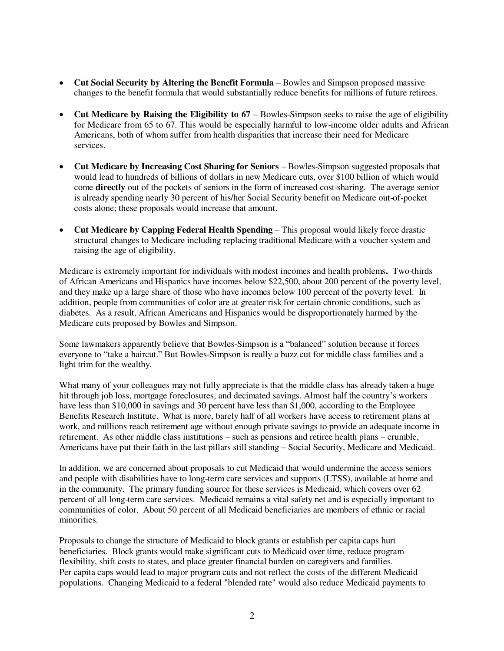- **Cut Social Security by Altering the Benefit Formula**  Bowles and Simpson proposed massive changes to the benefit formula that would substantially reduce benefits for millions of future retirees.
- Cut Medicare by Raising the Eligibility to 67 Bowles-Simpson seeks to raise the age of eligibility for Medicare from 65 to 67. This would be especially harmful to low-income older adults and African Americans, both of whom suffer from health disparities that increase their need for Medicare services.
- **Cut Medicare by Increasing Cost Sharing for Seniors** Bowles-Simpson suggested proposals that would lead to hundreds of billions of dollars in new Medicare cuts, over \$100 billion of which would come **directly** out of the pockets of seniors in the form of increased cost-sharing. The average senior is already spending nearly 30 percent of his/her Social Security benefit on Medicare out-of-pocket costs alone; these proposals would increase that amount.
- **Cut Medicare by Capping Federal Health Spending** This proposal would likely force drastic structural changes to Medicare including replacing traditional Medicare with a voucher system and raising the age of eligibility.

Medicare is extremely important for individuals with modest incomes and health problems**.** Two-thirds of African Americans and Hispanics have incomes below \$22,500, about 200 percent of the poverty level, and they make up a large share of those who have incomes below 100 percent of the poverty level. In addition, people from communities of color are at greater risk for certain chronic conditions, such as diabetes. As a result, African Americans and Hispanics would be disproportionately harmed by the Medicare cuts proposed by Bowles and Simpson.

Some lawmakers apparently believe that Bowles-Simpson is a "balanced" solution because it forces everyone to "take a haircut." But Bowles-Simpson is really a buzz cut for middle class families and a light trim for the wealthy.

What many of your colleagues may not fully appreciate is that the middle class has already taken a huge hit through job loss, mortgage foreclosures, and decimated savings. Almost half the country's workers have less than \$10,000 in savings and 30 percent have less than \$1,000, according to the Employee Benefits Research Institute. What is more, barely half of all workers have access to retirement plans at work, and millions reach retirement age without enough private savings to provide an adequate income in retirement. As other middle class institutions – such as pensions and retiree health plans – crumble, Americans have put their faith in the last pillars still standing – Social Security, Medicare and Medicaid.

In addition, we are concerned about proposals to cut Medicaid that would undermine the access seniors and people with disabilities have to long-term care services and supports (LTSS), available at home and in the community. The primary funding source for these services is Medicaid, which covers over 62 percent of all long-term care services. Medicaid remains a vital safety net and is especially important to communities of color. About 50 percent of all Medicaid beneficiaries are members of ethnic or racial minorities.

Proposals to change the structure of Medicaid to block grants or establish per capita caps hurt beneficiaries. Block grants would make significant cuts to Medicaid over time, reduce program flexibility, shift costs to states, and place greater financial burden on caregivers and families. Per capita caps would lead to major program cuts and not reflect the costs of the different Medicaid populations. Changing Medicaid to a federal "blended rate" would also reduce Medicaid payments to